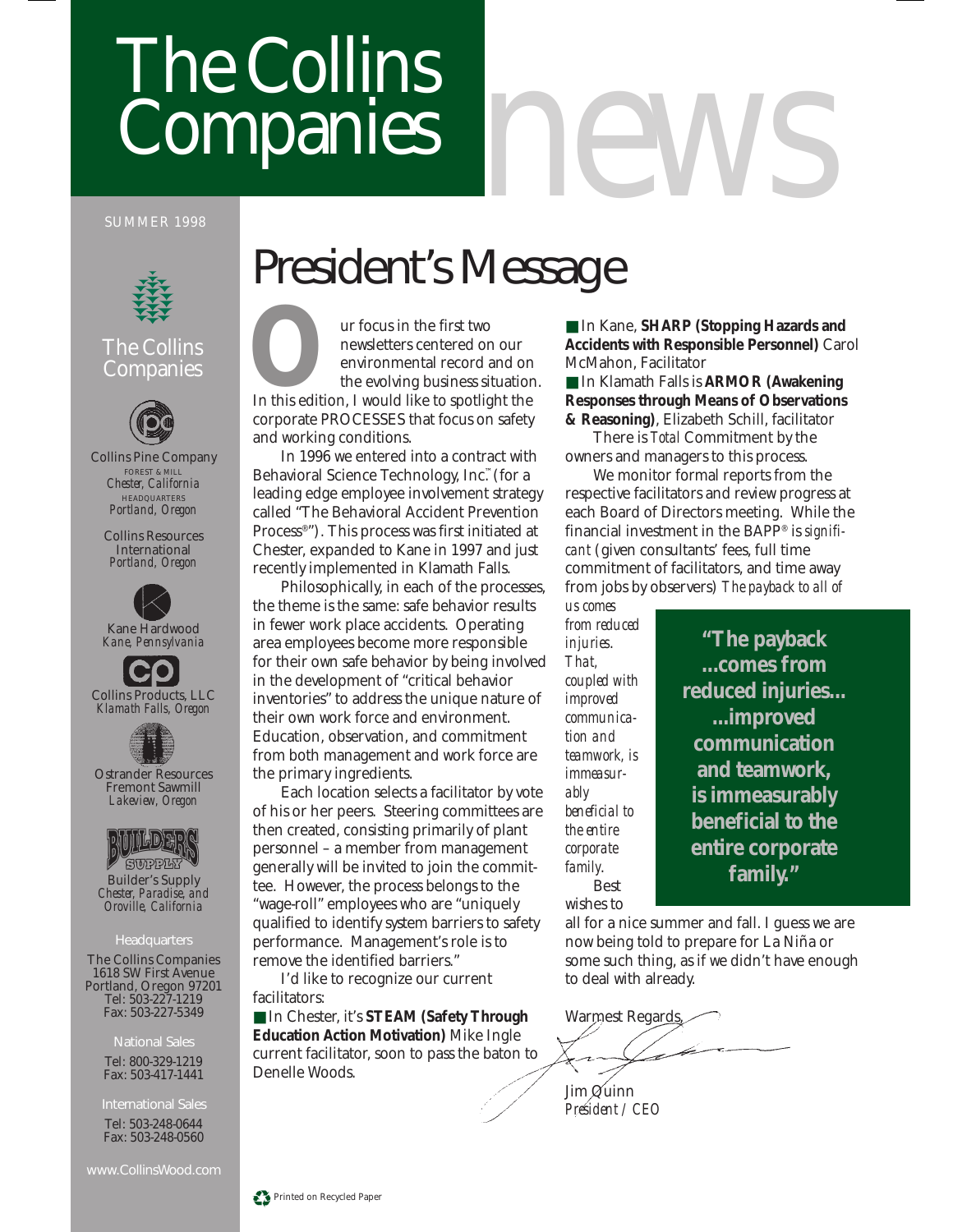# The Collins Companies **news**

SUMMER 1998



### The Collins **Companies**



Collins Pine Company FOREST & MILL *Chester, California* **HEADQUARTERS** *Portland, Oregon*

Collins Resources International *Portland, Oregon*







Ostrander Resources Fremont Sawmill *Lakeview, Oregon*



SUPPLY Builder's Supply *Chester, Paradise, and Oroville, California*

### **Headquarters**

The Collins Companies 1618 SW First Avenue Portland, Oregon 97201 Tel: 503-227-1219 Fax: 503-227-5349

### National Sales

Tel: 800-329-1219 Fax: 503-417-1441

International Sales

Tel: 503-248-0644 Fax: 503-248-0560

www.CollinsWood.com

# President's Message

ur focus in the first two newsletters centered on our environmental record and on the evolving business situation. In the first two newsletters centered on our environmental record and on the evolving business situation. I would like to spotlight the corporate PROCESSES that focus on safety and working conditions.

In 1996 we entered into a contract with Behavioral Science Technology, Inc.™(for a leading edge employee involvement strategy called "The Behavioral Accident Prevention Process®"). This process was first initiated at Chester, expanded to Kane in 1997 and just recently implemented in Klamath Falls.

Philosophically, in each of the processes, the theme is the same: safe behavior results in fewer work place accidents. Operating area employees become more responsible for their own safe behavior by being involved in the development of "critical behavior inventories" to address the unique nature of their own work force and environment. Education, observation, and commitment from both management and work force are the primary ingredients.

Each location selects a facilitator by vote of his or her peers. Steering committees are then created, consisting primarily of plant personnel – a member from management generally will be invited to join the committee. However, the process belongs to the "wage-roll" employees who are "uniquely qualified to identify system barriers to safety performance. Management's role is to remove the identified barriers."

I'd like to recognize our current facilitators:

■ In Chester, it's **STEAM** (Safety Through **Education Action Motivation)** Mike Ingle current facilitator, soon to pass the baton to Denelle Woods.

■ In Kane, **SHARP (Stopping Hazards and Accidents with Responsible Personnel)** Carol McMahon, Facilitator

■ In Klamath Falls is **ARMOR** (Awakening **Responses through Means of Observations & Reasoning)**, Elizabeth Schill, facilitator

There is *Total* Commitment by the owners and managers to this process.

We monitor formal reports from the respective facilitators and review progress at each Board of Directors meeting. While the financial investment in the BAPP® is *significant* (given consultants' fees, full time commitment of facilitators, and time away from jobs by observers) *The payback to all of*

*us comes from reduced injuries*. *That, coupled with improved communication and teamwork, is immeasurably beneficial to the entire corporate family*. Best wishes to

**"The payback ...comes from reduced injuries... ...improved communication and teamwork, is immeasurably beneficial to the entire corporate family."**

all for a nice summer and fall. I guess we are now being told to prepare for La Niña or some such thing, as if we didn't have enough to deal with already.

Warmest Regards,

Jim Quinn *President / CEO*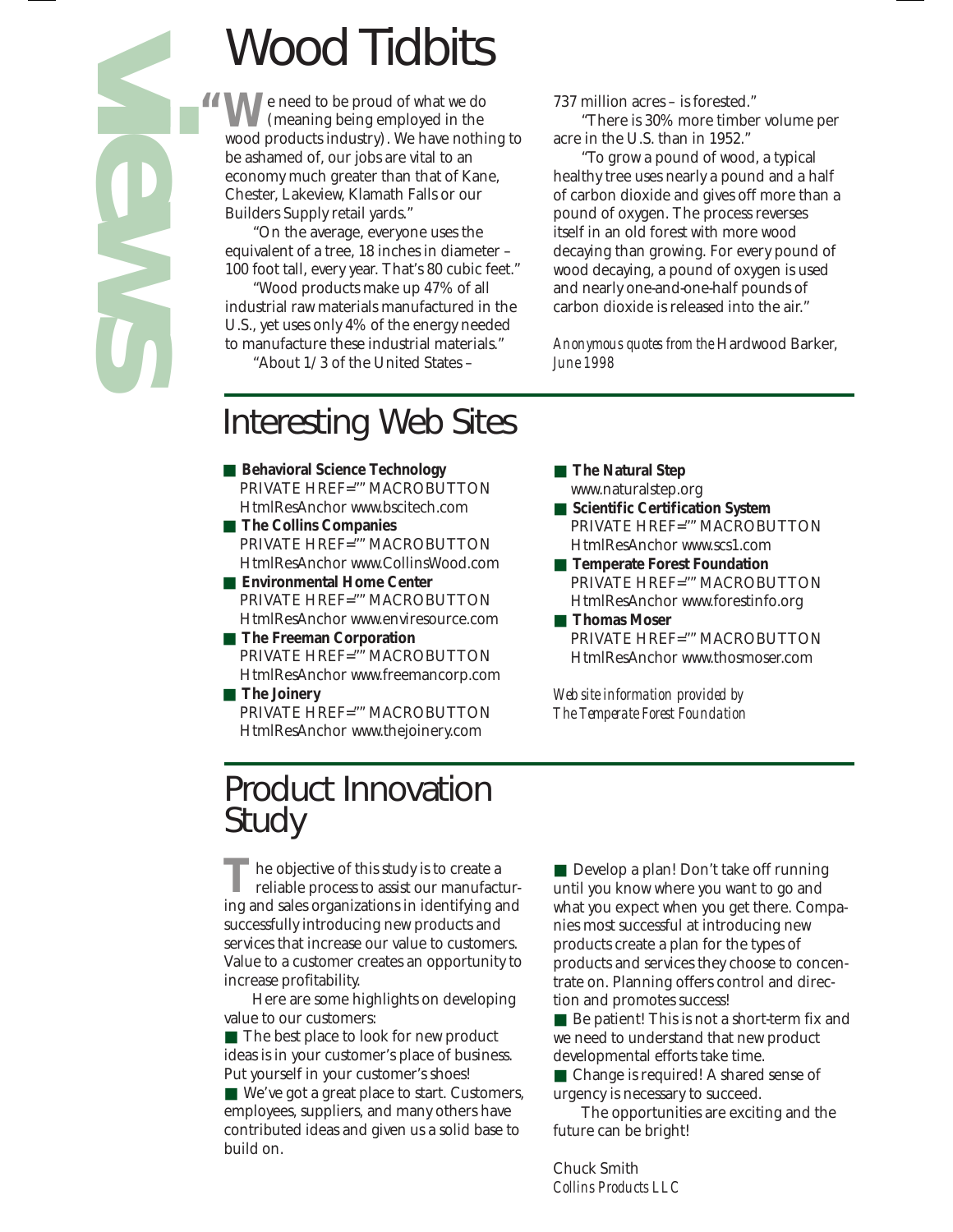# *views*

# Wood Tidbits

e need to be proud of what we do (meaning being employed in the **EXECUTE:** We need to be proud of what we do<br>wood products industry). We have nothing to be ashamed of, our jobs are vital to an economy much greater than that of Kane, Chester, Lakeview, Klamath Falls or our Builders Supply retail yards."

"On the average, everyone uses the equivalent of a tree, 18 inches in diameter – 100 foot tall, every year. That's 80 cubic feet."

"Wood products make up 47% of all industrial raw materials manufactured in the U.S., yet uses only 4% of the energy needed to manufacture these industrial materials."

"About 1/3 of the United States –

737 million acres – is forested."

"There is 30% more timber volume per acre in the U.S. than in 1952."

"To grow a pound of wood, a typical healthy tree uses nearly a pound and a half of carbon dioxide and gives off more than a pound of oxygen. The process reverses itself in an old forest with more wood decaying than growing. For every pound of wood decaying, a pound of oxygen is used and nearly one-and-one-half pounds of carbon dioxide is released into the air."

*Anonymous quotes from the* Hardwood Barker, *June 1998*

# Interesting Web Sites

- **Behavioral Science Technology** PRIVATE HREF="" MACROBUTTON HtmlResAnchor www.bscitech.com
- **The Collins Companies** PRIVATE HREF="" MACROBUTTON HtmlResAnchor www.CollinsWood.com
- **Environmental Home Center** PRIVATE HREF="" MACROBUTTON HtmlResAnchor www.enviresource.com
- **The Freeman Corporation** PRIVATE HREF="" MACROBUTTON HtmlResAnchor www.freemancorp.com
- **The Joinery** PRIVATE HREF="" MACROBUTTON HtmlResAnchor www.thejoinery.com
- **The Natural Step** www.naturalstep.org
- **Scientific Certification System** PRIVATE HREF="" MACROBUTTON HtmlResAnchor www.scs1.com
- **Temperate Forest Foundation** PRIVATE HREF="" MACROBUTTON HtmlResAnchor www.forestinfo.org
- **Thomas Moser** PRIVATE HREF="" MACROBUTTON HtmlResAnchor www.thosmoser.com

*Web site information provided by The Temperate Forest Foundation*

## Product Innovation **Study**

The objective of this study is to create a<br>
reliable process to assist our manufact<br>
integral selec organizations in identifying reliable process to assist our manufacturing and sales organizations in identifying and successfully introducing new products and services that increase our value to customers. Value to a customer creates an opportunity to increase profitability.

Here are some highlights on developing value to our customers:

■ The best place to look for new product ideas is in your customer's place of business. Put yourself in your customer's shoes!

■ We've got a great place to start. Customers, employees, suppliers, and many others have contributed ideas and given us a solid base to build on.

■ Develop a plan! Don't take off running until you know where you want to go and what you expect when you get there. Companies most successful at introducing new products create a plan for the types of products and services they choose to concentrate on. Planning offers control and direction and promotes success!

■ Be patient! This is not a short-term fix and we need to understand that new product developmental efforts take time.

■ Change is required! A shared sense of urgency is necessary to succeed.

The opportunities are exciting and the future can be bright!

Chuck Smith *Collins Products LLC*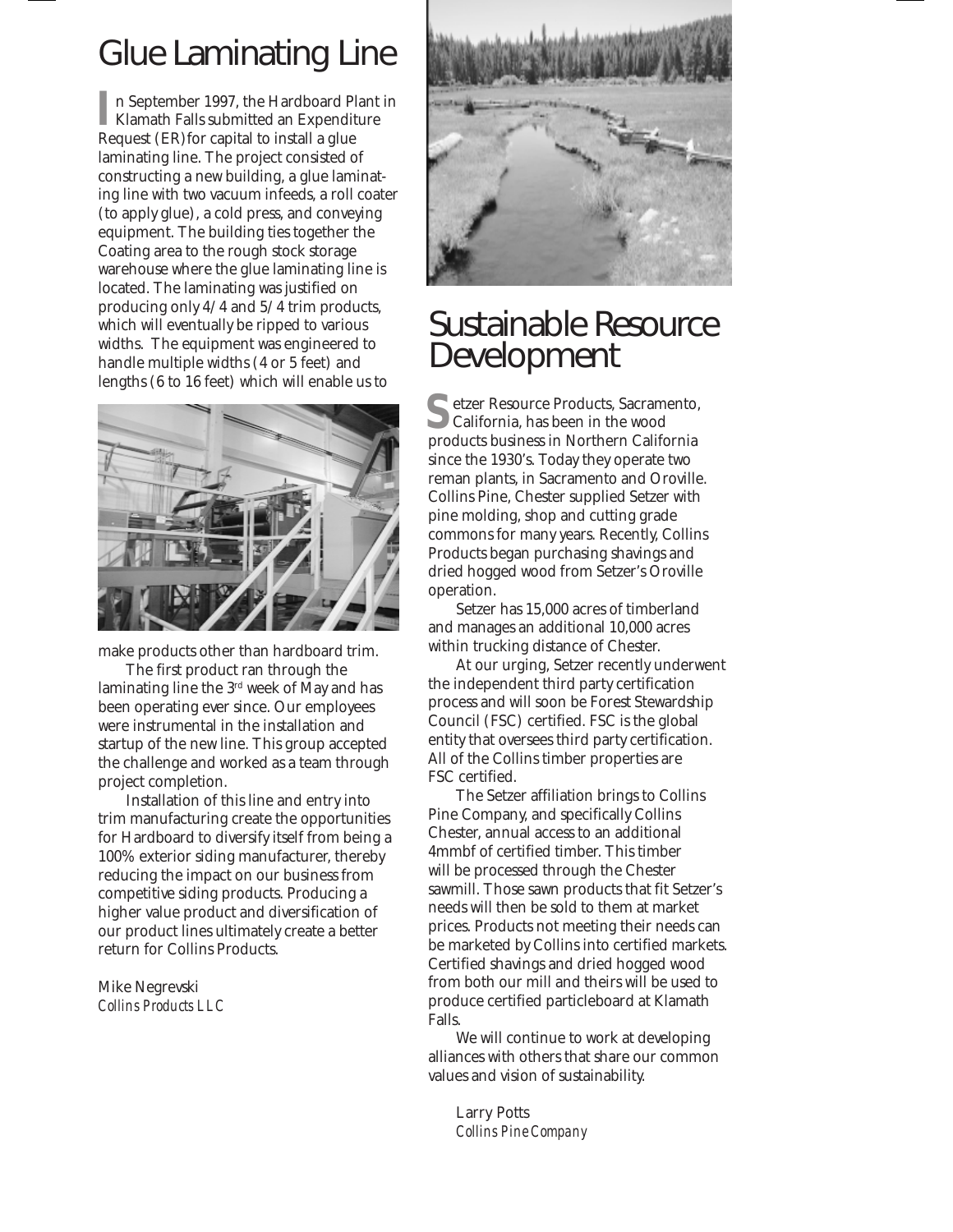# Glue Laminating Line

n September 1997, the Hardboard Plant in In September 1997, the Hardboard Plant<br>Klamath Falls submitted an Expenditure Request (ER)for capital to install a glue laminating line. The project consisted of constructing a new building, a glue laminating line with two vacuum infeeds, a roll coater (to apply glue), a cold press, and conveying equipment. The building ties together the Coating area to the rough stock storage warehouse where the glue laminating line is located. The laminating was justified on producing only 4/4 and 5/4 trim products, which will eventually be ripped to various widths. The equipment was engineered to handle multiple widths (4 or 5 feet) and lengths (6 to 16 feet) which will enable us to



make products other than hardboard trim.

The first product ran through the laminating line the 3rd week of May and has been operating ever since. Our employees were instrumental in the installation and startup of the new line. This group accepted the challenge and worked as a team through project completion.

Installation of this line and entry into trim manufacturing create the opportunities for Hardboard to diversify itself from being a 100% exterior siding manufacturer, thereby reducing the impact on our business from competitive siding products. Producing a higher value product and diversification of our product lines ultimately create a better return for Collins Products.

Mike Negrevski *Collins Products LLC*



### Sustainable Resource Development

Setzer Resource Products, Sacramento<br>
California, has been in the wood<br>
products business in Northern California etzer Resource Products, Sacramento, California, has been in the wood since the 1930's. Today they operate two reman plants, in Sacramento and Oroville. Collins Pine, Chester supplied Setzer with pine molding, shop and cutting grade commons for many years. Recently, Collins Products began purchasing shavings and dried hogged wood from Setzer's Oroville operation.

Setzer has 15,000 acres of timberland and manages an additional 10,000 acres within trucking distance of Chester.

At our urging, Setzer recently underwent the independent third party certification process and will soon be Forest Stewardship Council (FSC) certified. FSC is the global entity that oversees third party certification. All of the Collins timber properties are FSC certified.

The Setzer affiliation brings to Collins Pine Company, and specifically Collins Chester, annual access to an additional 4mmbf of certified timber. This timber will be processed through the Chester sawmill. Those sawn products that fit Setzer's needs will then be sold to them at market prices. Products not meeting their needs can be marketed by Collins into certified markets. Certified shavings and dried hogged wood from both our mill and theirs will be used to produce certified particleboard at Klamath Falls.

We will continue to work at developing alliances with others that share our common values and vision of sustainability.

Larry Potts *Collins Pine Company*